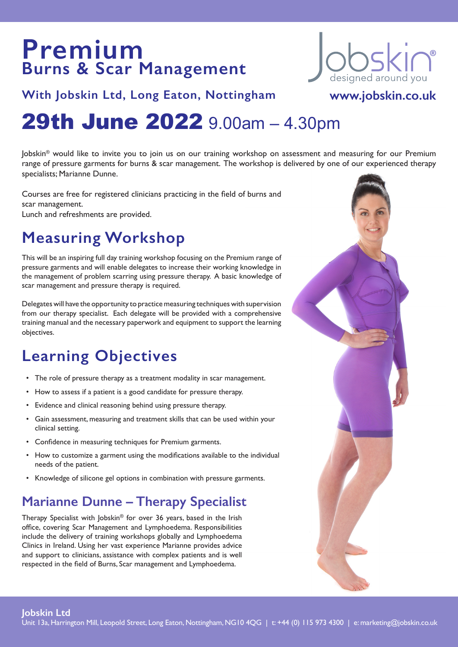# **Premium Burns & Scar Management**



**www.jobskin.co.uk**

### **With Jobskin Ltd, Long Eaton, Nottingham**

# 29th June 2022 9.00am – 4.30pm

Jobskin® would like to invite you to join us on our training workshop on assessment and measuring for our Premium range of pressure garments for burns & scar management. The workshop is delivered by one of our experienced therapy specialists; Marianne Dunne.

Courses are free for registered clinicians practicing in the field of burns and scar management.

Lunch and refreshments are provided.

## **Measuring Workshop**

This will be an inspiring full day training workshop focusing on the Premium range of pressure garments and will enable delegates to increase their working knowledge in the management of problem scarring using pressure therapy. A basic knowledge of scar management and pressure therapy is required.

Delegates will have the opportunity to practice measuring techniques with supervision from our therapy specialist. Each delegate will be provided with a comprehensive training manual and the necessary paperwork and equipment to support the learning objectives.

### **Learning Objectives**

- The role of pressure therapy as a treatment modality in scar management.
- How to assess if a patient is a good candidate for pressure therapy.
- Evidence and clinical reasoning behind using pressure therapy.
- Gain assessment, measuring and treatment skills that can be used within your clinical setting.
- Confidence in measuring techniques for Premium garments.
- How to customize a garment using the modifications available to the individual needs of the patient.
- Knowledge of silicone gel options in combination with pressure garments.

### **Marianne Dunne – Therapy Specialist**

Therapy Specialist with Jobskin® for over 36 years, based in the Irish office, covering Scar Management and Lymphoedema. Responsibilities include the delivery of training workshops globally and Lymphoedema Clinics in Ireland. Using her vast experience Marianne provides advice and support to clinicians, assistance with complex patients and is well respected in the field of Burns, Scar management and Lymphoedema.